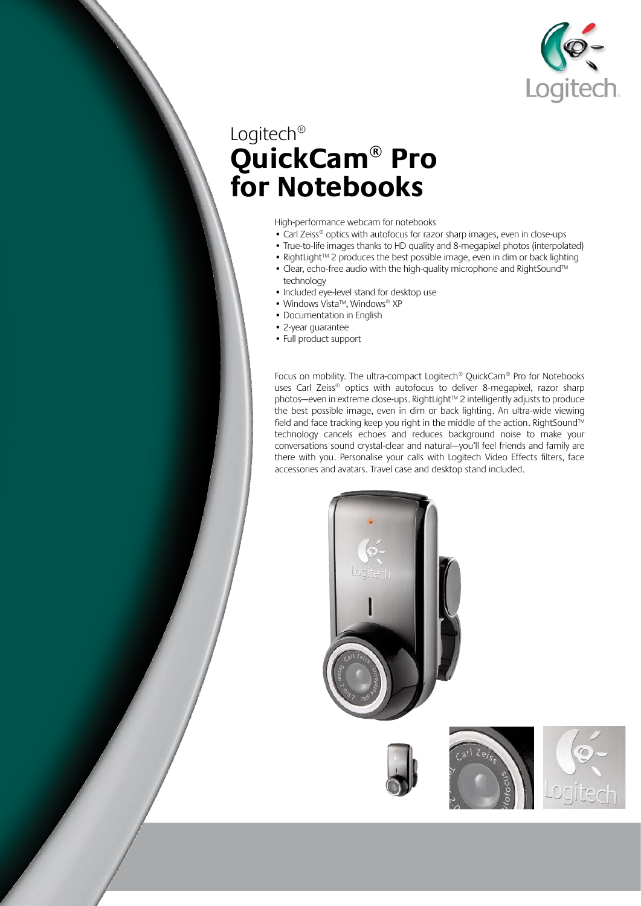

## Logitech® **QuickCam® Pro for Notebooks**

#### High-performance webcam for notebooks

- Carl Zeiss<sup>®</sup> optics with autofocus for razor sharp images, even in close-ups
- True-to-life images thanks to HD quality and 8-megapixel photos (interpolated)
- RightLight™ 2 produces the best possible image, even in dim or back lighting
- Clear, echo-free audio with the high-quality microphone and RightSound™ technology
- Included eye-level stand for desktop use
- Windows Vista™, Windows® XP
- Documentation in English
- 2-year guarantee
- Full product support

Focus on mobility. The ultra-compact Logitech® QuickCam® Pro for Notebooks uses Carl Zeiss® optics with autofocus to deliver 8-megapixel, razor sharp photos—even in extreme close-ups. RightLight™ 2 intelligently adjusts to produce the best possible image, even in dim or back lighting. An ultra-wide viewing field and face tracking keep you right in the middle of the action. RightSound™ technology cancels echoes and reduces background noise to make your conversations sound crystal-clear and natural—you'll feel friends and family are there with you. Personalise your calls with Logitech Video Effects filters, face accessories and avatars. Travel case and desktop stand included.